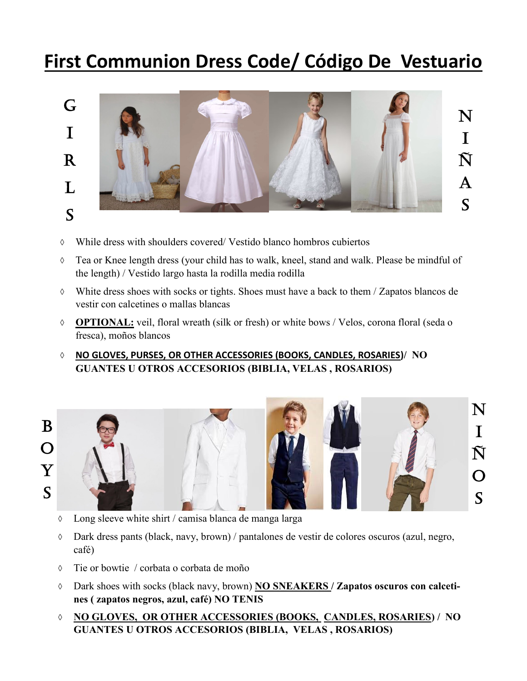## **First Communion Dress Code/ Código De Vestuario**



- While dress with shoulders covered/ Vestido blanco hombros cubiertos
- $\Diamond$  Tea or Knee length dress (your child has to walk, kneel, stand and walk. Please be mindful of the length) / Vestido largo hasta la rodilla media rodilla
- White dress shoes with socks or tights. Shoes must have a back to them / Zapatos blancos de vestir con calcetines o mallas blancas
- **OPTIONAL:** veil, floral wreath (silk or fresh) or white bows / Velos, corona floral (seda o fresca), moños blancos
- **NO GLOVES, PURSES, OR OTHER ACCESSORIES (BOOKS, CANDLES, ROSARIES)/ NO GUANTES U OTROS ACCESORIOS (BIBLIA, VELAS , ROSARIOS)**





- Long sleeve white shirt / camisa blanca de manga larga
- Dark dress pants (black, navy, brown) / pantalones de vestir de colores oscuros (azul, negro, café)
- Tie or bowtie / corbata o corbata de moño
- Dark shoes with socks (black navy, brown) **NO SNEAKERS / Zapatos oscuros con calcetines ( zapatos negros, azul, café) NO TENIS**
- **NO GLOVES, OR OTHER ACCESSORIES (BOOKS, CANDLES, ROSARIES) / NO GUANTES U OTROS ACCESORIOS (BIBLIA, VELAS , ROSARIOS)**